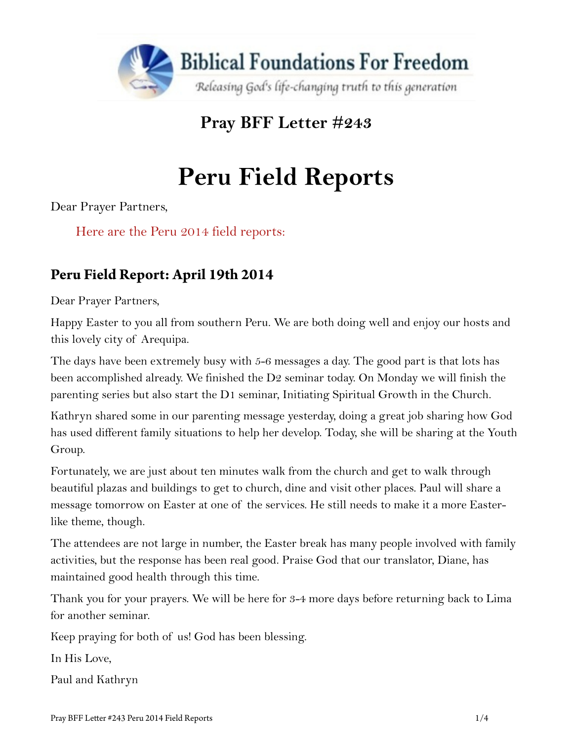

**Pray BFF Letter #243** 

# **Peru Field Reports**

Dear Prayer Partners,

Here are the Peru 2014 field reports:

## **Peru Field Report: April 19th 2014**

Dear Prayer Partners,

Happy Easter to you all from southern Peru. We are both doing well and enjoy our hosts and this lovely city of Arequipa.

The days have been extremely busy with 5-6 messages a day. The good part is that lots has been accomplished already. We finished the D2 seminar today. On Monday we will finish the parenting series but also start the D1 seminar, Initiating Spiritual Growth in the Church.

Kathryn shared some in our parenting message yesterday, doing a great job sharing how God has used different family situations to help her develop. Today, she will be sharing at the Youth Group.

Fortunately, we are just about ten minutes walk from the church and get to walk through beautiful plazas and buildings to get to church, dine and visit other places. Paul will share a message tomorrow on Easter at one of the services. He still needs to make it a more Easterlike theme, though.

The attendees are not large in number, the Easter break has many people involved with family activities, but the response has been real good. Praise God that our translator, Diane, has maintained good health through this time.

Thank you for your prayers. We will be here for 3-4 more days before returning back to Lima for another seminar.

Keep praying for both of us! God has been blessing.

In His Love,

Paul and Kathryn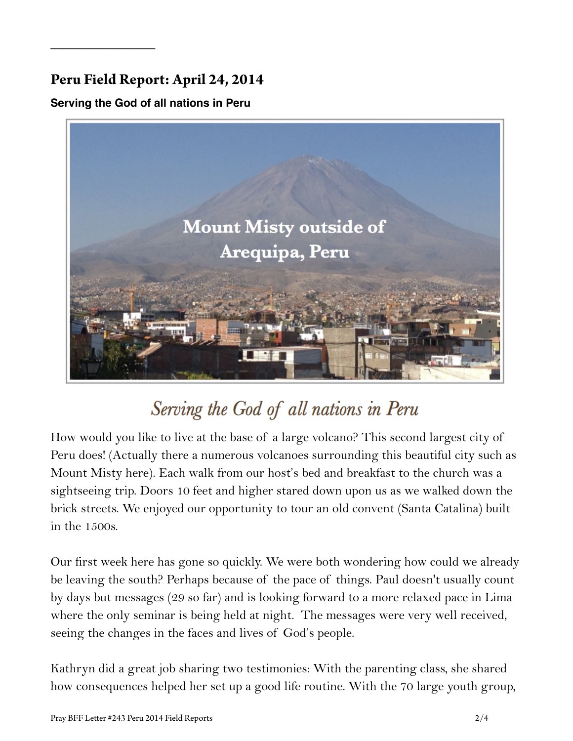### **Peru Field Report: April 24, 2014**

#### **Serving the God of all nations in Peru**

 $\overline{\phantom{a}}$  , where  $\overline{\phantom{a}}$ 



## Serving the God of all nations in Peru

How would you like to live at the base of a large volcano? This second largest city of Peru does! (Actually there a numerous volcanoes surrounding this beautiful city such as Mount Misty here). Each walk from our host's bed and breakfast to the church was a sightseeing trip. Doors 10 feet and higher stared down upon us as we walked down the brick streets. We enjoyed our opportunity to tour an old convent (Santa Catalina) built in the 1500s.

Our first week here has gone so quickly. We were both wondering how could we already be leaving the south? Perhaps because of the pace of things. Paul doesn't usually count by days but messages (29 so far) and is looking forward to a more relaxed pace in Lima where the only seminar is being held at night. The messages were very well received, seeing the changes in the faces and lives of God's people.

Kathryn did a great job sharing two testimonies: With the parenting class, she shared how consequences helped her set up a good life routine. With the 70 large youth group,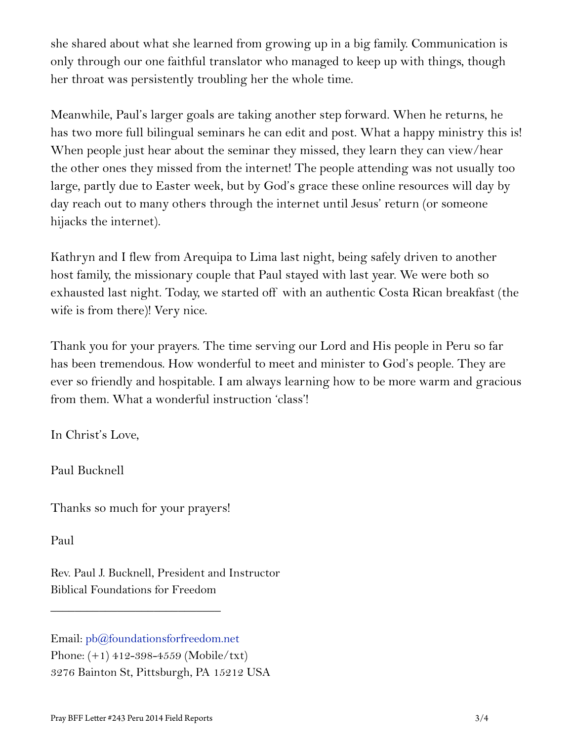she shared about what she learned from growing up in a big family. Communication is only through our one faithful translator who managed to keep up with things, though her throat was persistently troubling her the whole time.

Meanwhile, Paul's larger goals are taking another step forward. When he returns, he has two more full bilingual seminars he can edit and post. What a happy ministry this is! When people just hear about the seminar they missed, they learn they can view/hear the other ones they missed from the internet! The people attending was not usually too large, partly due to Easter week, but by God's grace these online resources will day by day reach out to many others through the internet until Jesus' return (or someone hijacks the internet).

Kathryn and I flew from Arequipa to Lima last night, being safely driven to another host family, the missionary couple that Paul stayed with last year. We were both so exhausted last night. Today, we started off with an authentic Costa Rican breakfast (the wife is from there)! Very nice.

Thank you for your prayers. The time serving our Lord and His people in Peru so far has been tremendous. How wonderful to meet and minister to God's people. They are ever so friendly and hospitable. I am always learning how to be more warm and gracious from them. What a wonderful instruction 'class'!

In Christ's Love,

Paul Bucknell

Thanks so much for your prayers!

\_\_\_\_\_\_\_\_\_\_\_\_\_\_\_\_\_\_\_\_\_\_\_\_\_\_\_\_

Paul

Rev. Paul J. Bucknell, President and Instructor Biblical Foundations for Freedom

Email: [pb@foundationsforfreedom.net](mailto:pb@foundationsforfreedom.net) Phone: (+1) 412-398-4559 (Mobile/txt) 3276 Bainton St, Pittsburgh, PA 15212 USA